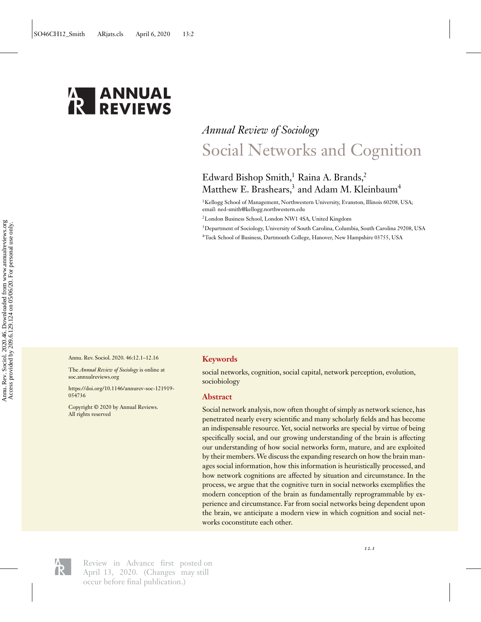

# *Annual Review of Sociology* Social Networks and Cognition

## Edward Bishop Smith,<sup>1</sup> Raina A. Brands,<sup>2</sup> Matthew E. Brashears,<sup>3</sup> and Adam M. Kleinbaum<sup>4</sup>

<sup>1</sup>Kellogg School of Management, Northwestern University, Evanston, Illinois 60208, USA; email: [ned-smith@kellogg.northwestern.edu](mailto:ned-smith@kellogg.northwestern.edu)

2London Business School, London NW1 4SA, United Kingdom

<sup>3</sup> Department of Sociology, University of South Carolina, Columbia, South Carolina 29208, USA

4Tuck School of Business, Dartmouth College, Hanover, New Hampshire 03755, USA

Annu. Rev. Sociol. 2020. 46:12.1–12.16

The *Annual Review of Sociology* is online at soc.annualreviews.org

[https://doi.org/10.1146/annurev-soc-121919-](https://doi.org/10.1146/annurev-soc-121919-054736) 054736

Copyright © 2020 by Annual Reviews. All rights reserved

, .<br>R

#### **Keywords**

social networks, cognition, social capital, network perception, evolution, sociobiology

## **Abstract**

Social network analysis, now often thought of simply as network science, has penetrated nearly every scientific and many scholarly fields and has become an indispensable resource. Yet, social networks are special by virtue of being specifically social, and our growing understanding of the brain is affecting our understanding of how social networks form, mature, and are exploited by their members.We discuss the expanding research on how the brain manages social information, how this information is heuristically processed, and how network cognitions are affected by situation and circumstance. In the process, we argue that the cognitive turn in social networks exemplifies the modern conception of the brain as fundamentally reprogrammable by experience and circumstance. Far from social networks being dependent upon the brain, we anticipate a modern view in which cognition and social networks coconstitute each other.

*12.1*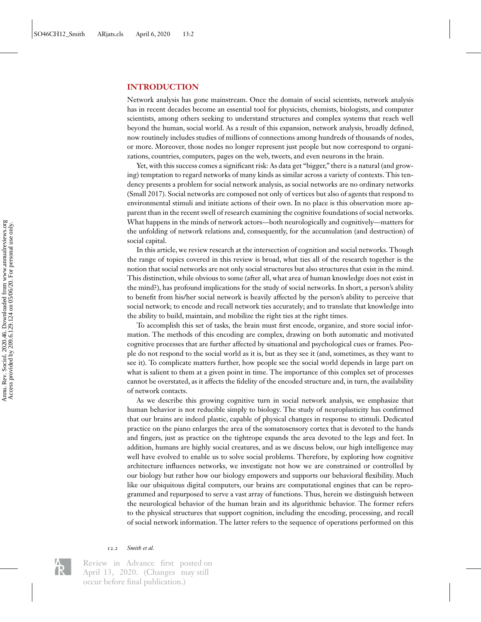## **INTRODUCTION**

Network analysis has gone mainstream. Once the domain of social scientists, network analysis has in recent decades become an essential tool for physicists, chemists, biologists, and computer scientists, among others seeking to understand structures and complex systems that reach well beyond the human, social world. As a result of this expansion, network analysis, broadly defined, now routinely includes studies of millions of connections among hundreds of thousands of nodes, or more. Moreover, those nodes no longer represent just people but now correspond to organizations, countries, computers, pages on the web, tweets, and even neurons in the brain.

Yet, with this success comes a significant risk: As data get "bigger," there is a natural (and growing) temptation to regard networks of many kinds as similar across a variety of contexts. This tendency presents a problem for social network analysis, as social networks are no ordinary networks [\(Small 2017\)](#page-14-0). Social networks are composed not only of vertices but also of agents that respond to environmental stimuli and initiate actions of their own. In no place is this observation more apparent than in the recent swell of research examining the cognitive foundations of social networks. What happens in the minds of network actors—both neurologically and cognitively—matters for the unfolding of network relations and, consequently, for the accumulation (and destruction) of social capital.

In this article, we review research at the intersection of cognition and social networks. Though the range of topics covered in this review is broad, what ties all of the research together is the notion that social networks are not only social structures but also structures that exist in the mind. This distinction, while obvious to some (after all, what area of human knowledge does not exist in the mind?), has profound implications for the study of social networks. In short, a person's ability to benefit from his/her social network is heavily affected by the person's ability to perceive that social network; to encode and recall network ties accurately; and to translate that knowledge into the ability to build, maintain, and mobilize the right ties at the right times.

To accomplish this set of tasks, the brain must first encode, organize, and store social information. The methods of this encoding are complex, drawing on both automatic and motivated cognitive processes that are further affected by situational and psychological cues or frames. People do not respond to the social world as it is, but as they see it (and, sometimes, as they want to see it). To complicate matters further, how people see the social world depends in large part on what is salient to them at a given point in time. The importance of this complex set of processes cannot be overstated, as it affects the fidelity of the encoded structure and, in turn, the availability of network contacts.

As we describe this growing cognitive turn in social network analysis, we emphasize that human behavior is not reducible simply to biology. The study of neuroplasticity has confirmed that our brains are indeed plastic, capable of physical changes in response to stimuli. Dedicated practice on the piano enlarges the area of the somatosensory cortex that is devoted to the hands and fingers, just as practice on the tightrope expands the area devoted to the legs and feet. In addition, humans are highly social creatures, and as we discuss below, our high intelligence may well have evolved to enable us to solve social problems. Therefore, by exploring how cognitive architecture influences networks, we investigate not how we are constrained or controlled by our biology but rather how our biology empowers and supports our behavioral flexibility. Much like our ubiquitous digital computers, our brains are computational engines that can be reprogrammed and repurposed to serve a vast array of functions. Thus, herein we distinguish between the neurological behavior of the human brain and its algorithmic behavior. The former refers to the physical structures that support cognition, including the encoding, processing, and recall of social network information. The latter refers to the sequence of operations performed on this

 $\overline{R}$ 

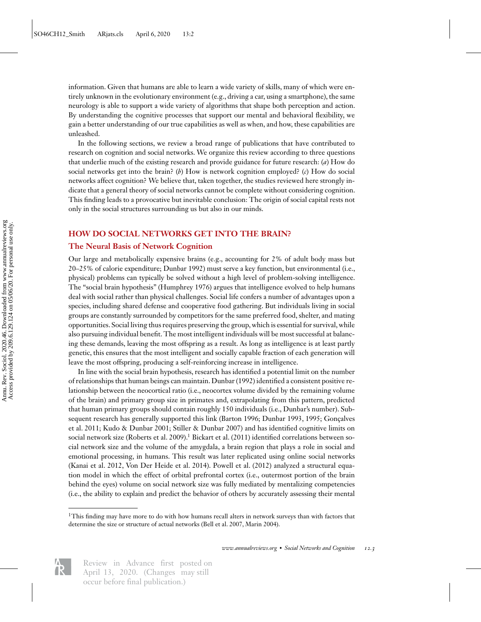information. Given that humans are able to learn a wide variety of skills, many of which were entirely unknown in the evolutionary environment (e.g., driving a car, using a smartphone), the same neurology is able to support a wide variety of algorithms that shape both perception and action. By understanding the cognitive processes that support our mental and behavioral flexibility, we gain a better understanding of our true capabilities as well as when, and how, these capabilities are unleashed.

In the following sections, we review a broad range of publications that have contributed to research on cognition and social networks. We organize this review according to three questions that underlie much of the existing research and provide guidance for future research: (*a*) How do social networks get into the brain? (*b*) How is network cognition employed? (*c*) How do social networks affect cognition? We believe that, taken together, the studies reviewed here strongly indicate that a general theory of social networks cannot be complete without considering cognition. This finding leads to a provocative but inevitable conclusion: The origin of social capital rests not only in the social structures surrounding us but also in our minds.

## **HOW DO SOCIAL NETWORKS GET INTO THE BRAIN?**

## **The Neural Basis of Network Cognition**

Our large and metabolically expensive brains (e.g., accounting for 2% of adult body mass but 20–25% of calorie expenditure; [Dunbar 1992\)](#page-12-0) must serve a key function, but environmental (i.e., physical) problems can typically be solved without a high level of problem-solving intelligence. The "social brain hypothesis" [\(Humphrey 1976\)](#page-13-0) argues that intelligence evolved to help humans deal with social rather than physical challenges. Social life confers a number of advantages upon a species, including shared defense and cooperative food gathering. But individuals living in social groups are constantly surrounded by competitors for the same preferred food, shelter, and mating opportunities. Social living thus requires preserving the group, which is essential for survival, while also pursuing individual benefit. The most intelligent individuals will be most successful at balancing these demands, leaving the most offspring as a result. As long as intelligence is at least partly genetic, this ensures that the most intelligent and socially capable fraction of each generation will leave the most offspring, producing a self-reinforcing increase in intelligence.

In line with the social brain hypothesis, research has identified a potential limit on the number of relationships that human beings can maintain. [Dunbar \(1992\)](#page-12-0) identified a consistent positive relationship between the neocortical ratio (i.e., neocortex volume divided by the remaining volume of the brain) and primary group size in primates and, extrapolating from this pattern, predicted that human primary groups should contain roughly 150 individuals (i.e., Dunbar's number). Sub[sequent research has generally supported this link \(Barton 1996; Dunbar 1993, 1995; Gonçalves](#page-13-0) et al. 2011; [Kudo & Dunbar 2001;](#page-13-0) [Stiller & Dunbar 2007\)](#page-15-0) and has identified cognitive limits on social network size [\(Roberts et al. 2009\)](#page-14-0).<sup>1</sup> [Bickart et al. \(2011\)](#page-12-0) identified correlations between social network size and the volume of the amygdala, a brain region that plays a role in social and emotional processing, in humans. This result was later replicated using online social networks [\(Kanai et al. 2012,](#page-13-0) [Von Der Heide et al. 2014\)](#page-15-0). [Powell et al. \(2012\)](#page-14-0) analyzed a structural equation model in which the effect of orbital prefrontal cortex (i.e., outermost portion of the brain behind the eyes) volume on social network size was fully mediated by mentalizing competencies (i.e., the ability to explain and predict the behavior of others by accurately assessing their mental

<sup>&</sup>lt;sup>1</sup>This finding may have more to do with how humans recall alters in network surveys than with factors that determine the size or structure of actual networks [\(Bell et al. 2007,](#page-12-0) [Marin 2004\)](#page-14-0). , .<br>,<br>R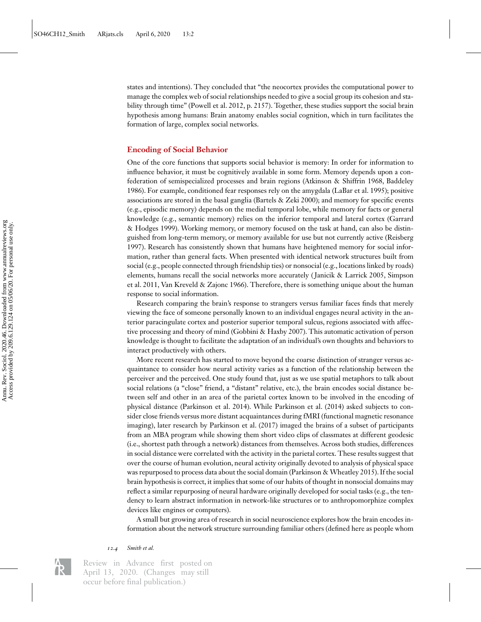states and intentions). They concluded that "the neocortex provides the computational power to manage the complex web of social relationships needed to give a social group its cohesion and stability through time" [\(Powell et al. 2012,](#page-14-0) p. 2157). Together, these studies support the social brain hypothesis among humans: Brain anatomy enables social cognition, which in turn facilitates the formation of large, complex social networks.

#### **Encoding of Social Behavior**

One of the core functions that supports social behavior is memory: In order for information to influence behavior, it must be cognitively available in some form. Memory depends upon a confederation of semispecialized processes and brain regions [\(Atkinson & Shiffrin 1968,](#page-12-0) Baddeley [1986\). For example, conditioned fear responses rely on the amygdala \(LaBar et al. 1995\); positive](#page-12-0) associations are stored in the basal ganglia [\(Bartels & Zeki 2000\)](#page-12-0); and memory for specific events (e.g., episodic memory) depends on the medial temporal lobe, while memory for facts or general [knowledge \(e.g., semantic memory\) relies on the inferior temporal and lateral cortex \(Garrard](#page-13-0) & Hodges 1999). Working memory, or memory focused on the task at hand, can also be distinguished from long-term memory, or memory available for use but not currently active (Reisberg [1997\). Research has consistently shown that humans have heightened memory for social infor](#page-14-0)mation, rather than general facts. When presented with identical network structures built from social (e.g., people connected through friendship ties) or nonsocial (e.g., locations linked by roads) [elements, humans recall the social networks more accurately \(](#page-14-0) [Janicik & Larrick 2005](#page-13-0)[, Simpson](#page-14-0) et al. 2011, [Van Kreveld & Zajonc 1966\)](#page-15-0). Therefore, there is something unique about the human response to social information.

Research comparing the brain's response to strangers versus familiar faces finds that merely viewing the face of someone personally known to an individual engages neural activity in the anterior paracingulate cortex and posterior superior temporal sulcus, regions associated with affective processing and theory of mind [\(Gobbini & Haxby 2007\)](#page-13-0). This automatic activation of person knowledge is thought to facilitate the adaptation of an individual's own thoughts and behaviors to interact productively with others.

More recent research has started to move beyond the coarse distinction of stranger versus acquaintance to consider how neural activity varies as a function of the relationship between the perceiver and the perceived. One study found that, just as we use spatial metaphors to talk about social relations (a "close" friend, a "distant" relative, etc.), the brain encodes social distance between self and other in an area of the parietal cortex known to be involved in the encoding of physical distance [\(Parkinson et al. 2014\)](#page-14-0). While [Parkinson et al. \(2014\)](#page-14-0) asked subjects to consider close friends versus more distant acquaintances during fMRI (functional magnetic resonance imaging), later research by [Parkinson et al. \(2017\)](#page-14-0) imaged the brains of a subset of participants from an MBA program while showing them short video clips of classmates at different geodesic (i.e., shortest path through a network) distances from themselves. Across both studies, differences in social distance were correlated with the activity in the parietal cortex. These results suggest that over the course of human evolution, neural activity originally devoted to analysis of physical space was repurposed to process data about the social domain [\(Parkinson & Wheatley 2015\)](#page-14-0). If the social brain hypothesis is correct, it implies that some of our habits of thought in nonsocial domains may reflect a similar repurposing of neural hardware originally developed for social tasks (e.g., the tendency to learn abstract information in network-like structures or to anthropomorphize complex devices like engines or computers).

A small but growing area of research in social neuroscience explores how the brain encodes information about the network structure surrounding familiar others (defined here as people whom

*12.4 Smith et al.*

 $\overline{R}$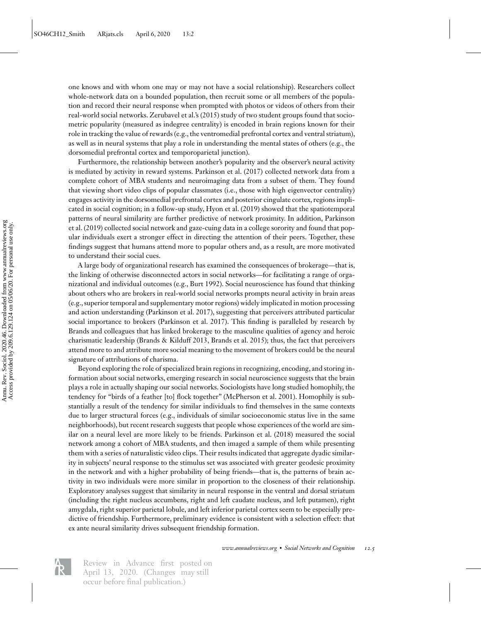one knows and with whom one may or may not have a social relationship). Researchers collect whole-network data on a bounded population, then recruit some or all members of the population and record their neural response when prompted with photos or videos of others from their real-world social networks. [Zerubavel et al.'s \(2015\)](#page-15-0) study of two student groups found that sociometric popularity (measured as indegree centrality) is encoded in brain regions known for their role in tracking the value of rewards (e.g., the ventromedial prefrontal cortex and ventral striatum), as well as in neural systems that play a role in understanding the mental states of others (e.g., the dorsomedial prefrontal cortex and temporoparietal junction).

Furthermore, the relationship between another's popularity and the observer's neural activity is mediated by activity in reward systems. [Parkinson et al. \(2017\)](#page-14-0) collected network data from a complete cohort of MBA students and neuroimaging data from a subset of them. They found that viewing short video clips of popular classmates (i.e., those with high eigenvector centrality) engages activity in the dorsomedial prefrontal cortex and posterior cingulate cortex, regions implicated in social cognition; in a follow-up study, [Hyon et al. \(2019\)](#page-13-0) showed that the spatiotemporal [patterns of neural similarity are further predictive of network proximity. In addition, Parkinson](#page-14-0) et al. (2019) collected social network and gaze-cuing data in a college sorority and found that popular individuals exert a stronger effect in directing the attention of their peers. Together, these findings suggest that humans attend more to popular others and, as a result, are more motivated to understand their social cues.

A large body of organizational research has examined the consequences of brokerage—that is, the linking of otherwise disconnected actors in social networks—for facilitating a range of organizational and individual outcomes (e.g., [Burt 1992\)](#page-12-0). Social neuroscience has found that thinking about others who are brokers in real-world social networks prompts neural activity in brain areas (e.g., superior temporal and supplementary motor regions) widely implicated in motion processing and action understanding [\(Parkinson et al. 2017\)](#page-14-0), suggesting that perceivers attributed particular social importance to brokers [\(Parkinson et al. 2017\)](#page-14-0). This finding is paralleled by research by Brands and colleagues that has linked brokerage to the masculine qualities of agency and heroic charismatic leadership [\(Brands & Kilduff 2013, Brands et al. 2015\)](#page-12-0); thus, the fact that perceivers attend more to and attribute more social meaning to the movement of brokers could be the neural signature of attributions of charisma.

Beyond exploring the role of specialized brain regions in recognizing, encoding, and storing information about social networks, emerging research in social neuroscience suggests that the brain plays a role in actually shaping our social networks. Sociologists have long studied homophily, the tendency for "birds of a feather [to] flock together" [\(McPherson et al. 2001\)](#page-14-0). Homophily is substantially a result of the tendency for similar individuals to find themselves in the same contexts due to larger structural forces (e.g., individuals of similar socioeconomic status live in the same neighborhoods), but recent research suggests that people whose experiences of the world are similar on a neural level are more likely to be friends. [Parkinson et al. \(2018\)](#page-14-0) measured the social network among a cohort of MBA students, and then imaged a sample of them while presenting them with a series of naturalistic video clips. Their results indicated that aggregate dyadic similarity in subjects' neural response to the stimulus set was associated with greater geodesic proximity in the network and with a higher probability of being friends—that is, the patterns of brain activity in two individuals were more similar in proportion to the closeness of their relationship. Exploratory analyses suggest that similarity in neural response in the ventral and dorsal striatum (including the right nucleus accumbens, right and left caudate nucleus, and left putamen), right amygdala, right superior parietal lobule, and left inferior parietal cortex seem to be especially predictive of friendship. Furthermore, preliminary evidence is consistent with a selection effect: that ex ante neural similarity drives subsequent friendship formation. .<br>|<br>|<br>|<br>|<br>|

*www.annualreviews.org • Social Networks and Cognition 12.5*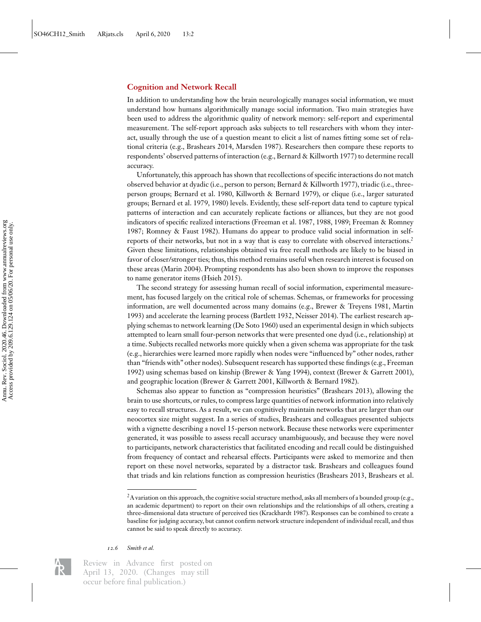## **Cognition and Network Recall**

In addition to understanding how the brain neurologically manages social information, we must understand how humans algorithmically manage social information. Two main strategies have been used to address the algorithmic quality of network memory: self-report and experimental measurement. The self-report approach asks subjects to tell researchers with whom they interact, usually through the use of a question meant to elicit a list of names fitting some set of relational criteria (e.g., [Brashears 2014,](#page-12-0) [Marsden 1987\)](#page-14-0). Researchers then compare these reports to respondents' observed patterns of interaction (e.g., [Bernard & Killworth 1977\)](#page-12-0) to determine recall accuracy.

Unfortunately, this approach has shown that recollections of specific interactions do not match observed behavior at dyadic (i.e., person to person; [Bernard & Killworth 1977\)](#page-12-0), triadic (i.e., threeperson groups; [Bernard et al. 1980,](#page-12-0) [Killworth & Bernard 1979\)](#page-13-0), or clique (i.e., larger saturated groups; [Bernard et al. 1979, 1980\)](#page-12-0) levels. Evidently, these self-report data tend to capture typical patterns of interaction and can accurately replicate factions or alliances, but they are not good indicators of specific realized interactions [\(Freeman et al. 1987, 1988, 1989;](#page-13-0) Freeman & Romney [1987; Romney & Faust 1982\). Humans do appear to produce valid social information in self](#page-13-0)reports of their networks, but not in a way that is easy to correlate with observed interactions.2 Given these limitations, relationships obtained via free recall methods are likely to be biased in favor of closer/stronger ties; thus, this method remains useful when research interest is focused on these areas [\(Marin 2004\)](#page-14-0). Prompting respondents has also been shown to improve the responses to name generator items [\(Hsieh 2015\)](#page-13-0).

The second strategy for assessing human recall of social information, experimental measurement, has focused largely on the critical role of schemas. Schemas, or frameworks for processing [information, are well documented across many domains \(e.g.,](#page-14-0) [Brewer & Treyens 1981](#page-12-0)[, Martin](#page-14-0) 1993) and accelerate the learning process [\(Bartlett 1932,](#page-12-0) [Neisser 2014\)](#page-14-0). The earliest research applying schemas to network learning [\(De Soto 1960\)](#page-12-0) used an experimental design in which subjects attempted to learn small four-person networks that were presented one dyad (i.e., relationship) at a time. Subjects recalled networks more quickly when a given schema was appropriate for the task (e.g., hierarchies were learned more rapidly when nodes were "influenced by" other nodes, rather [than "friends with" other nodes\). Subsequent research has supported these findings \(e.g., Freeman](#page-13-0) 1992) using schemas based on kinship [\(Brewer & Yang 1994\)](#page-12-0), context [\(Brewer & Garrett 2001\)](#page-12-0), and geographic location [\(Brewer & Garrett 2001,](#page-12-0) [Killworth & Bernard 1982\)](#page-13-0).

Schemas also appear to function as "compression heuristics" [\(Brashears 2013\)](#page-12-0), allowing the brain to use shortcuts, or rules, to compress large quantities of network information into relatively easy to recall structures. As a result, we can cognitively maintain networks that are larger than our neocortex size might suggest. In a series of studies, Brashears and colleagues presented subjects with a vignette describing a novel 15-person network. Because these networks were experimenter generated, it was possible to assess recall accuracy unambiguously, and because they were novel to participants, network characteristics that facilitated encoding and recall could be distinguished from frequency of contact and rehearsal effects. Participants were asked to memorize and then report on these novel networks, separated by a distractor task. Brashears and colleagues found that triads and kin relations function as compression heuristics [\(Brashears 2013, Brashears et al.](#page-12-0)

#### *12.6 Smith et al.*



<sup>&</sup>lt;sup>2</sup>A variation on this approach, the cognitive social structure method, asks all members of a bounded group (e.g., an academic department) to report on their own relationships and the relationships of all others, creating a three-dimensional data structure of perceived ties [\(Krackhardt 1987\)](#page-13-0). Responses can be combined to create a baseline for judging accuracy, but cannot confirm network structure independent of individual recall, and thus cannot be said to speak directly to accuracy.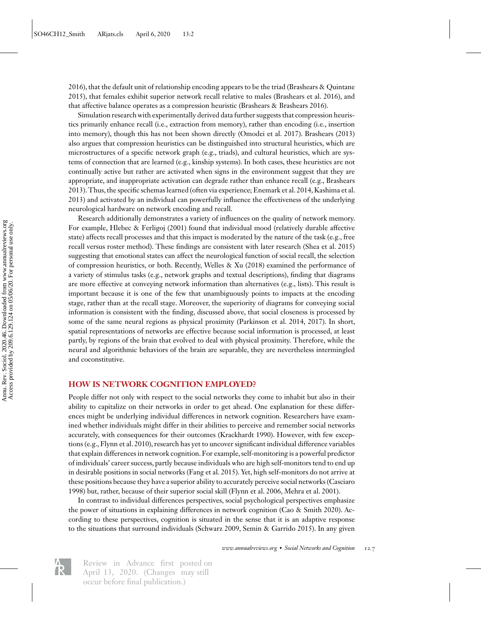[2016\)](#page-12-0), that the default unit of relationship encoding appears to be the triad (Brashears & Quintane [2015\), that females exhibit superior network recall relative to males \(Brashears et al. 2016\), and](#page-12-0) that affective balance operates as a compression heuristic [\(Brashears & Brashears 2016\)](#page-12-0).

Simulation research with experimentally derived data further suggests that compression heuristics primarily enhance recall (i.e., extraction from memory), rather than encoding (i.e., insertion into memory), though this has not been shown directly [\(Omodei et al. 2017\)](#page-14-0). [Brashears \(2013\)](#page-12-0) also argues that compression heuristics can be distinguished into structural heuristics, which are microstructures of a specific network graph (e.g., triads), and cultural heuristics, which are systems of connection that are learned (e.g., kinship systems). In both cases, these heuristics are not continually active but rather are activated when signs in the environment suggest that they are [appropriate, and inappropriate activation can degrade rather than enhance recall \(e.g., Brashears](#page-12-0) [2013\). Thus, the specific schemas learned \(often via experience; Enemark et al. 2014, Kashima et al.](#page-13-0) 2013) and activated by an individual can powerfully influence the effectiveness of the underlying neurological hardware on network encoding and recall.

Research additionally demonstrates a variety of influences on the quality of network memory. For example, [Hlebec & Ferligoj \(2001\)](#page-13-0) found that individual mood (relatively durable affective state) affects recall processes and that this impact is moderated by the nature of the task (e.g., free recall versus roster method). These findings are consistent with later research [\(Shea et al. 2015\)](#page-14-0) suggesting that emotional states can affect the neurological function of social recall, the selection of compression heuristics, or both. Recently, [Welles & Xu \(2018\)](#page-15-0) examined the performance of a variety of stimulus tasks (e.g., network graphs and textual descriptions), finding that diagrams are more effective at conveying network information than alternatives (e.g., lists). This result is important because it is one of the few that unambiguously points to impacts at the encoding stage, rather than at the recall stage. Moreover, the superiority of diagrams for conveying social information is consistent with the finding, discussed above, that social closeness is processed by some of the same neural regions as physical proximity [\(Parkinson et al. 2014, 2017\)](#page-14-0). In short, spatial representations of networks are effective because social information is processed, at least partly, by regions of the brain that evolved to deal with physical proximity. Therefore, while the neural and algorithmic behaviors of the brain are separable, they are nevertheless intermingled and coconstitutive.

## **HOW IS NETWORK COGNITION EMPLOYED?**

People differ not only with respect to the social networks they come to inhabit but also in their ability to capitalize on their networks in order to get ahead. One explanation for these differences might be underlying individual differences in network cognition. Researchers have examined whether individuals might differ in their abilities to perceive and remember social networks accurately, with consequences for their outcomes [\(Krackhardt 1990\)](#page-13-0). However, with few exceptions (e.g., [Flynn et al. 2010\)](#page-13-0), research has yet to uncover significant individual difference variables that explain differences in network cognition. For example, self-monitoring is a powerful predictor of individuals' career success, partly because individuals who are high self-monitors tend to end up in desirable positions in social networks [\(Fang et al. 2015\)](#page-13-0). Yet, high self-monitors do not arrive at [these positions because they have a superior ability to accurately perceive social networks \(Casciaro](#page-12-0) 1998) but, rather, because of their superior social skill [\(Flynn et al. 2006,](#page-13-0) [Mehra et al. 2001\)](#page-14-0).

In contrast to individual differences perspectives, social psychological perspectives emphasize the power of situations in explaining differences in network cognition [\(Cao & Smith 2020\)](#page-12-0). According to these perspectives, cognition is situated in the sense that it is an adaptive response to the situations that surround individuals [\(Schwarz 2009, Semin & Garrido 2015\)](#page-14-0). In any given t<br>|<br>|<br>|<br>|<br>|

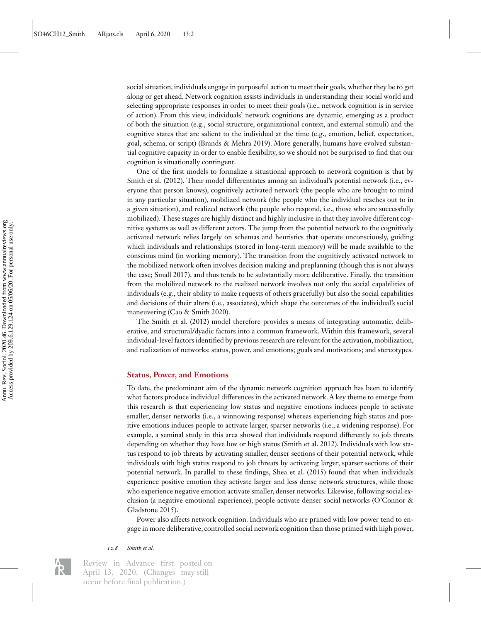social situation, individuals engage in purposeful action to meet their goals, whether they be to get along or get ahead. Network cognition assists individuals in understanding their social world and selecting appropriate responses in order to meet their goals (i.e., network cognition is in service of action). From this view, individuals' network cognitions are dynamic, emerging as a product of both the situation (e.g., social structure, organizational context, and external stimuli) and the cognitive states that are salient to the individual at the time (e.g., emotion, belief, expectation, goal, schema, or script) [\(Brands & Mehra 2019\)](#page-12-0). More generally, humans have evolved substantial cognitive capacity in order to enable flexibility, so we should not be surprised to find that our cognition is situationally contingent.

One of the first models to formalize a situational approach to network cognition is that by [Smith et al. \(2012\).](#page-15-0) Their model differentiates among an individual's potential network (i.e., everyone that person knows), cognitively activated network (the people who are brought to mind in any particular situation), mobilized network (the people who the individual reaches out to in a given situation), and realized network (the people who respond, i.e., those who are successfully mobilized). These stages are highly distinct and highly inclusive in that they involve different cognitive systems as well as different actors. The jump from the potential network to the cognitively activated network relies largely on schemas and heuristics that operate unconsciously, guiding which individuals and relationships (stored in long-term memory) will be made available to the conscious mind (in working memory). The transition from the cognitively activated network to the mobilized network often involves decision making and preplanning (though this is not always the case; [Small 2017\)](#page-14-0), and thus tends to be substantially more deliberative. Finally, the transition from the mobilized network to the realized network involves not only the social capabilities of individuals (e.g., their ability to make requests of others gracefully) but also the social capabilities and decisions of their alters (i.e., associates), which shape the outcomes of the individual's social maneuvering [\(Cao & Smith 2020\)](#page-12-0).

The [Smith et al. \(2012\)](#page-15-0) model therefore provides a means of integrating automatic, deliberative, and structural/dyadic factors into a common framework. Within this framework, several individual-level factors identified by previous research are relevant for the activation, mobilization, and realization of networks: status, power, and emotions; goals and motivations; and stereotypes.

#### **Status, Power, and Emotions**

To date, the predominant aim of the dynamic network cognition approach has been to identify what factors produce individual differences in the activated network. A key theme to emerge from this research is that experiencing low status and negative emotions induces people to activate smaller, denser networks (i.e., a winnowing response) whereas experiencing high status and positive emotions induces people to activate larger, sparser networks (i.e., a widening response). For example, a seminal study in this area showed that individuals respond differently to job threats depending on whether they have low or high status [\(Smith et al. 2012\)](#page-15-0). Individuals with low status respond to job threats by activating smaller, denser sections of their potential network, while individuals with high status respond to job threats by activating larger, sparser sections of their potential network. In parallel to these findings, [Shea et al. \(2015\)](#page-14-0) found that when individuals experience positive emotion they activate larger and less dense network structures, while those who experience negative emotion activate smaller, denser networks. Likewise, following social ex[clusion \(a negative emotional experience\), people activate denser social networks \(O'Connor &](#page-14-0) Gladstone 2015).

Power also affects network cognition. Individuals who are primed with low power tend to engage in more deliberative, controlled social network cognition than those primed with high power,

*12.8 Smith et al.*

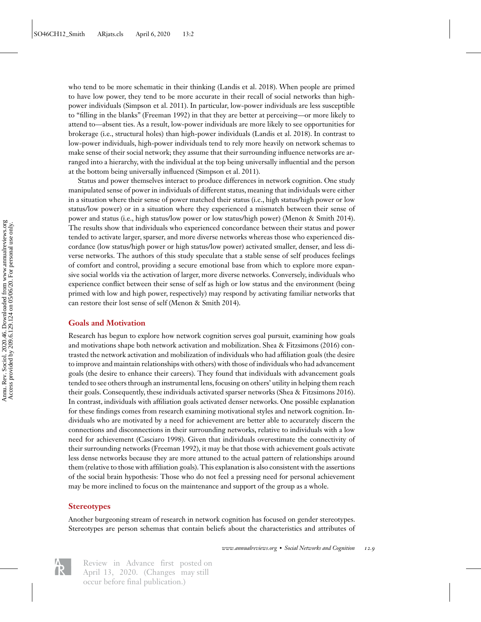who tend to be more schematic in their thinking [\(Landis et al. 2018\)](#page-14-0). When people are primed to have low power, they tend to be more accurate in their recall of social networks than highpower individuals [\(Simpson et al. 2011\)](#page-14-0). In particular, low-power individuals are less susceptible to "filling in the blanks" [\(Freeman 1992\)](#page-13-0) in that they are better at perceiving—or more likely to attend to—absent ties. As a result, low-power individuals are more likely to see opportunities for brokerage (i.e., structural holes) than high-power individuals [\(Landis et al. 2018\)](#page-14-0). In contrast to low-power individuals, high-power individuals tend to rely more heavily on network schemas to make sense of their social network; they assume that their surrounding influence networks are arranged into a hierarchy, with the individual at the top being universally influential and the person at the bottom being universally influenced [\(Simpson et al. 2011\)](#page-14-0).

Status and power themselves interact to produce differences in network cognition. One study manipulated sense of power in individuals of different status, meaning that individuals were either in a situation where their sense of power matched their status (i.e., high status/high power or low status/low power) or in a situation where they experienced a mismatch between their sense of power and status (i.e., high status/low power or low status/high power) [\(Menon & Smith 2014\)](#page-14-0). The results show that individuals who experienced concordance between their status and power tended to activate larger, sparser, and more diverse networks whereas those who experienced discordance (low status/high power or high status/low power) activated smaller, denser, and less diverse networks. The authors of this study speculate that a stable sense of self produces feelings of comfort and control, providing a secure emotional base from which to explore more expansive social worlds via the activation of larger, more diverse networks. Conversely, individuals who experience conflict between their sense of self as high or low status and the environment (being primed with low and high power, respectively) may respond by activating familiar networks that can restore their lost sense of self [\(Menon & Smith 2014\)](#page-14-0).

#### **Goals and Motivation**

Research has begun to explore how network cognition serves goal pursuit, examining how goals and motivations shape both network activation and mobilization. [Shea & Fitzsimons \(2016\)](#page-14-0) contrasted the network activation and mobilization of individuals who had affiliation goals (the desire to improve and maintain relationships with others) with those of individuals who had advancement goals (the desire to enhance their careers). They found that individuals with advancement goals tended to see others through an instrumental lens, focusing on others' utility in helping them reach their goals. Consequently, these individuals activated sparser networks [\(Shea & Fitzsimons 2016\)](#page-14-0). In contrast, individuals with affiliation goals activated denser networks. One possible explanation for these findings comes from research examining motivational styles and network cognition. Individuals who are motivated by a need for achievement are better able to accurately discern the connections and disconnections in their surrounding networks, relative to individuals with a low need for achievement [\(Casciaro 1998\)](#page-12-0). Given that individuals overestimate the connectivity of their surrounding networks [\(Freeman 1992\)](#page-13-0), it may be that those with achievement goals activate less dense networks because they are more attuned to the actual pattern of relationships around them (relative to those with affiliation goals). This explanation is also consistent with the assertions of the social brain hypothesis: Those who do not feel a pressing need for personal achievement may be more inclined to focus on the maintenance and support of the group as a whole.

#### **Stereotypes**

Another burgeoning stream of research in network cognition has focused on gender stereotypes. Stereotypes are person schemas that contain beliefs about the characteristics and attributes of s<br>|<br>|<br>|<br>|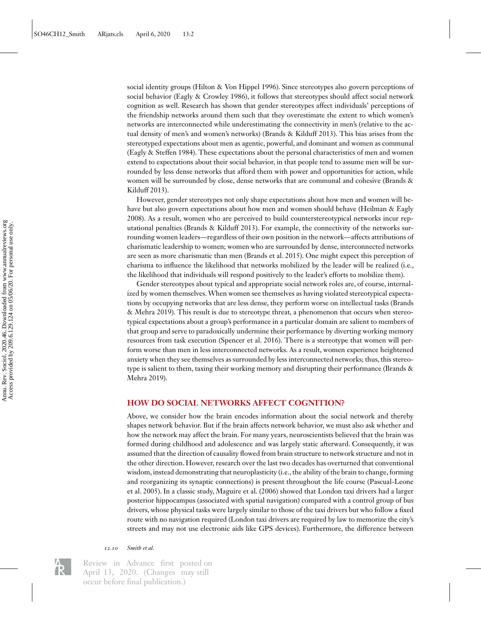social identity groups [\(Hilton & Von Hippel 1996\)](#page-13-0). Since stereotypes also govern perceptions of social behavior [\(Eagly & Crowley 1986\)](#page-12-0), it follows that stereotypes should affect social network cognition as well. Research has shown that gender stereotypes affect individuals' perceptions of the friendship networks around them such that they overestimate the extent to which women's networks are interconnected while underestimating the connectivity in men's (relative to the actual density of men's and women's networks) [\(Brands & Kilduff 2013\)](#page-12-0). This bias arises from the stereotyped expectations about men as agentic, powerful, and dominant and women as communal [\(Eagly & Steffen 1984\)](#page-13-0). These expectations about the personal characteristics of men and women extend to expectations about their social behavior, in that people tend to assume men will be surrounded by less dense networks that afford them with power and opportunities for action, while [women will be surrounded by close, dense networks that are communal and cohesive \(Brands &](#page-12-0) Kilduff 2013).

However, gender stereotypes not only shape expectations about how men and women will behave but also govern expectations about how men and women should behave (Heilman & Eagly [2008\). As a result, women who are perceived to build counterstereotypical networks incur rep](#page-13-0)utational penalties [\(Brands & Kilduff 2013\)](#page-12-0). For example, the connectivity of the networks surrounding women leaders—regardless of their own position in the network—affects attributions of charismatic leadership to women; women who are surrounded by dense, interconnected networks are seen as more charismatic than men [\(Brands et al. 2015\)](#page-12-0). One might expect this perception of charisma to influence the likelihood that networks mobilized by the leader will be realized (i.e., the likelihood that individuals will respond positively to the leader's efforts to mobilize them).

Gender stereotypes about typical and appropriate social network roles are, of course, internalized by women themselves.When women see themselves as having violated stereotypical expecta[tions by occupying networks that are less dense, they perform worse on intellectual tasks \(Brands](#page-12-0) & Mehra 2019). This result is due to stereotype threat, a phenomenon that occurs when stereotypical expectations about a group's performance in a particular domain are salient to members of that group and serve to paradoxically undermine their performance by diverting working memory resources from task execution [\(Spencer et al. 2016\)](#page-15-0). There is a stereotype that women will perform worse than men in less interconnected networks. As a result, women experience heightened anxiety when they see themselves as surrounded by less interconnected networks; thus, this stereo[type is salient to them, taxing their working memory and disrupting their performance \(Brands &](#page-12-0) Mehra 2019).

#### **HOW DO SOCIAL NETWORKS AFFECT COGNITION?**

Above, we consider how the brain encodes information about the social network and thereby shapes network behavior. But if the brain affects network behavior, we must also ask whether and how the network may affect the brain. For many years, neuroscientists believed that the brain was formed during childhood and adolescence and was largely static afterward. Consequently, it was assumed that the direction of causality flowed from brain structure to network structure and not in the other direction. However, research over the last two decades has overturned that conventional wisdom, instead demonstrating that neuroplasticity (i.e., the ability of the brain to change, forming and reorganizing its synaptic connections) is present throughout the life course (Pascual-Leone [et al. 2005\). In a classic study, Maguire et al. \(2006\) showed that London taxi drivers had a larger](#page-14-0) posterior hippocampus (associated with spatial navigation) compared with a control group of bus drivers, whose physical tasks were largely similar to those of the taxi drivers but who follow a fixed route with no navigation required (London taxi drivers are required by law to memorize the city's streets and may not use electronic aids like GPS devices). Furthermore, the difference between

*12.10 Smith et al.*

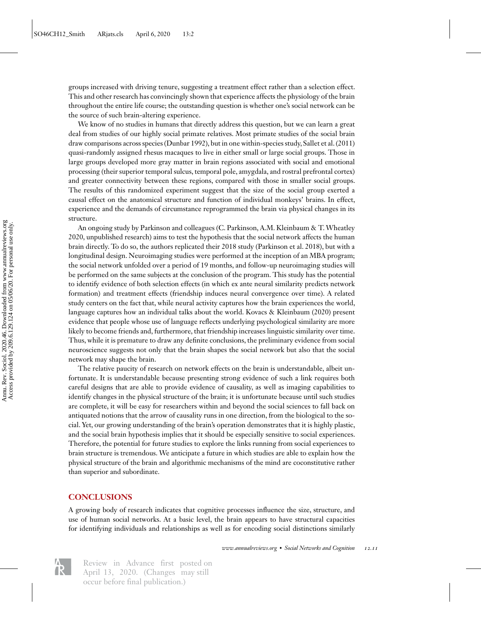groups increased with driving tenure, suggesting a treatment effect rather than a selection effect. This and other research has convincingly shown that experience affects the physiology of the brain throughout the entire life course; the outstanding question is whether one's social network can be the source of such brain-altering experience.

We know of no studies in humans that directly address this question, but we can learn a great deal from studies of our highly social primate relatives. Most primate studies of the social brain draw comparisons across species [\(Dunbar 1992\)](#page-12-0), but in one within-species study, [Sallet et al. \(2011\)](#page-14-0) quasi-randomly assigned rhesus macaques to live in either small or large social groups. Those in large groups developed more gray matter in brain regions associated with social and emotional processing (their superior temporal sulcus, temporal pole, amygdala, and rostral prefrontal cortex) and greater connectivity between these regions, compared with those in smaller social groups. The results of this randomized experiment suggest that the size of the social group exerted a causal effect on the anatomical structure and function of individual monkeys' brains. In effect, experience and the demands of circumstance reprogrammed the brain via physical changes in its structure.

An ongoing study by Parkinson and colleagues (C. Parkinson, A.M. Kleinbaum & T.Wheatley 2020, unpublished research) aims to test the hypothesis that the social network affects the human brain directly. To do so, the authors replicated their 2018 study [\(Parkinson et al. 2018\)](#page-14-0), but with a longitudinal design. Neuroimaging studies were performed at the inception of an MBA program; the social network unfolded over a period of 19 months, and follow-up neuroimaging studies will be performed on the same subjects at the conclusion of the program. This study has the potential to identify evidence of both selection effects (in which ex ante neural similarity predicts network formation) and treatment effects (friendship induces neural convergence over time). A related study centers on the fact that, while neural activity captures how the brain experiences the world, language captures how an individual talks about the world. [Kovacs & Kleinbaum \(2020\)](#page-13-0) present evidence that people whose use of language reflects underlying psychological similarity are more likely to become friends and, furthermore, that friendship increases linguistic similarity over time. Thus, while it is premature to draw any definite conclusions, the preliminary evidence from social neuroscience suggests not only that the brain shapes the social network but also that the social network may shape the brain.

The relative paucity of research on network effects on the brain is understandable, albeit unfortunate. It is understandable because presenting strong evidence of such a link requires both careful designs that are able to provide evidence of causality, as well as imaging capabilities to identify changes in the physical structure of the brain; it is unfortunate because until such studies are complete, it will be easy for researchers within and beyond the social sciences to fall back on antiquated notions that the arrow of causality runs in one direction, from the biological to the social. Yet, our growing understanding of the brain's operation demonstrates that it is highly plastic, and the social brain hypothesis implies that it should be especially sensitive to social experiences. Therefore, the potential for future studies to explore the links running from social experiences to brain structure is tremendous. We anticipate a future in which studies are able to explain how the physical structure of the brain and algorithmic mechanisms of the mind are coconstitutive rather than superior and subordinate.

#### **CONCLUSIONS**

A growing body of research indicates that cognitive processes influence the size, structure, and use of human social networks. At a basic level, the brain appears to have structural capacities for identifying individuals and relationships as well as for encoding social distinctions similarly , .<br>, .<br>, .<br>, .<br>, .<br>, .

*www.annualreviews.org • Social Networks and Cognition 12.11*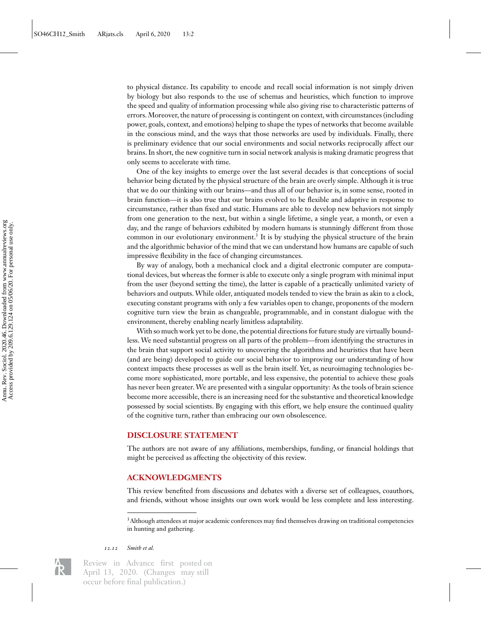to physical distance. Its capability to encode and recall social information is not simply driven by biology but also responds to the use of schemas and heuristics, which function to improve the speed and quality of information processing while also giving rise to characteristic patterns of errors. Moreover, the nature of processing is contingent on context, with circumstances (including power, goals, context, and emotions) helping to shape the types of networks that become available in the conscious mind, and the ways that those networks are used by individuals. Finally, there is preliminary evidence that our social environments and social networks reciprocally affect our brains. In short, the new cognitive turn in social network analysis is making dramatic progress that only seems to accelerate with time.

One of the key insights to emerge over the last several decades is that conceptions of social behavior being dictated by the physical structure of the brain are overly simple. Although it is true that we do our thinking with our brains—and thus all of our behavior is, in some sense, rooted in brain function—it is also true that our brains evolved to be flexible and adaptive in response to circumstance, rather than fixed and static. Humans are able to develop new behaviors not simply from one generation to the next, but within a single lifetime, a single year, a month, or even a day, and the range of behaviors exhibited by modern humans is stunningly different from those common in our evolutionary environment.<sup>3</sup> It is by studying the physical structure of the brain and the algorithmic behavior of the mind that we can understand how humans are capable of such impressive flexibility in the face of changing circumstances.

By way of analogy, both a mechanical clock and a digital electronic computer are computational devices, but whereas the former is able to execute only a single program with minimal input from the user (beyond setting the time), the latter is capable of a practically unlimited variety of behaviors and outputs. While older, antiquated models tended to view the brain as akin to a clock, executing constant programs with only a few variables open to change, proponents of the modern cognitive turn view the brain as changeable, programmable, and in constant dialogue with the environment, thereby enabling nearly limitless adaptability.

With so much work yet to be done, the potential directions for future study are virtually boundless. We need substantial progress on all parts of the problem—from identifying the structures in the brain that support social activity to uncovering the algorithms and heuristics that have been (and are being) developed to guide our social behavior to improving our understanding of how context impacts these processes as well as the brain itself. Yet, as neuroimaging technologies become more sophisticated, more portable, and less expensive, the potential to achieve these goals has never been greater.We are presented with a singular opportunity: As the tools of brain science become more accessible, there is an increasing need for the substantive and theoretical knowledge possessed by social scientists. By engaging with this effort, we help ensure the continued quality of the cognitive turn, rather than embracing our own obsolescence.

## **DISCLOSURE STATEMENT**

The authors are not aware of any affiliations, memberships, funding, or financial holdings that might be perceived as affecting the objectivity of this review.

## **ACKNOWLEDGMENTS**

This review benefited from discussions and debates with a diverse set of colleagues, coauthors, and friends, without whose insights our own work would be less complete and less interesting.

#### *12.12 Smith et al.*



<sup>&</sup>lt;sup>3</sup> Although attendees at major academic conferences may find themselves drawing on traditional competencies in hunting and gathering.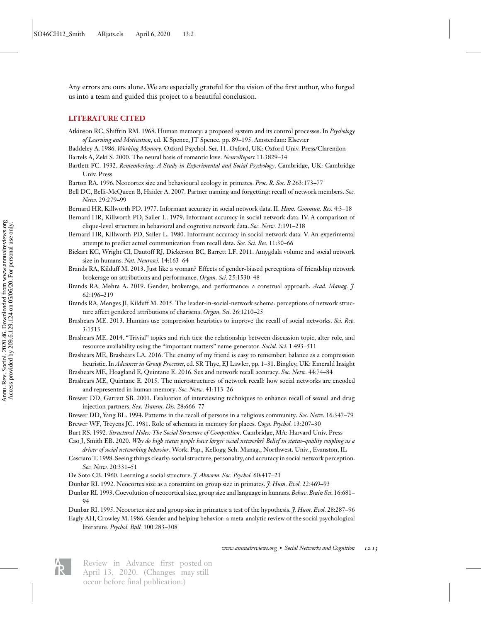<span id="page-12-0"></span>Any errors are ours alone. We are especially grateful for the vision of the first author, who forged us into a team and guided this project to a beautiful conclusion.

## **LITERATURE CITED**

- Atkinson RC, Shiffrin RM. 1968. Human memory: a proposed system and its control processes. In *Psychology of Learning and Motivation*, ed. K Spence, JT Spence, pp. 89–195. Amsterdam: Elsevier
- Baddeley A. 1986. *Working Memory*. Oxford Psychol. Ser. 11. Oxford, UK: Oxford Univ. Press/Clarendon
- Bartels A, Zeki S. 2000. The neural basis of romantic love. *NeuroReport* 11:3829–34
- Bartlett FC. 1932. *Remembering: A Study in Experimental and Social Psychology*. Cambridge, UK: Cambridge Univ. Press

Barton RA. 1996. Neocortex size and behavioural ecology in primates. *Proc. R. Soc. B* 263:173–77

Bell DC, Belli-McQueen B, Haider A. 2007. Partner naming and forgetting: recall of network members. *Soc. Netw.* 29:279–99

Bernard HR, Killworth PD. 1977. Informant accuracy in social network data. II. *Hum. Commun. Res.* 4:3–18

Bernard HR, Killworth PD, Sailer L. 1979. Informant accuracy in social network data. IV. A comparison of clique-level structure in behavioral and cognitive network data. *Soc. Netw.* 2:191–218

- Bernard HR, Killworth PD, Sailer L. 1980. Informant accuracy in social-network data. V. An experimental attempt to predict actual communication from recall data. *Soc. Sci. Res.* 11:30–66
- Bickart KC, Wright CI, Dautoff RJ, Dickerson BC, Barrett LF. 2011. Amygdala volume and social network size in humans. *Nat. Neurosci.* 14:163–64

Brands RA, Kilduff M. 2013. Just like a woman? Effects of gender-biased perceptions of friendship network brokerage on attributions and performance. *Organ. Sci.* 25:1530–48

- Brands RA, Mehra A. 2019. Gender, brokerage, and performance: a construal approach. *Acad. Manag. J.* 62:196–219
- Brands RA, Menges JI, Kilduff M. 2015. The leader-in-social-network schema: perceptions of network structure affect gendered attributions of charisma. *Organ. Sci.* 26:1210–25
- Brashears ME. 2013. Humans use compression heuristics to improve the recall of social networks. *Sci. Rep.* 3:1513
- Brashears ME. 2014. "Trivial" topics and rich ties: the relationship between discussion topic, alter role, and resource availability using the "important matters" name generator. *Sociol. Sci.* 1:493–511
- Brashears ME, Brashears LA. 2016. The enemy of my friend is easy to remember: balance as a compression heuristic. In *Advances in Group Processes*, ed. SR Thye, EJ Lawler, pp. 1–31. Bingley, UK: Emerald Insight Brashears ME, Hoagland E, Quintane E. 2016. Sex and network recall accuracy. *Soc. Netw.* 44:74–84
- Brashears ME, Quintane E. 2015. The microstructures of network recall: how social networks are encoded and represented in human memory. *Soc. Netw.* 41:113–26
- Brewer DD, Garrett SB. 2001. Evaluation of interviewing techniques to enhance recall of sexual and drug injection partners. *Sex. Transm. Dis.* 28:666–77
- Brewer DD, Yang BL. 1994. Patterns in the recall of persons in a religious community. *Soc. Netw.* 16:347–79 Brewer WF, Treyens JC. 1981. Role of schemata in memory for places. *Cogn. Psychol.* 13:207–30
- Burt RS. 1992. *Structural Holes: The Social Structure of Competition*. Cambridge, MA: Harvard Univ. Press

Cao J, Smith EB. 2020. *Why do high status people have larger social networks? Belief in status–quality coupling as a driver of social networking behavior*. Work. Pap., Kellogg Sch. Manag., Northwest. Univ., Evanston, IL

Casciaro T. 1998. Seeing things clearly: social structure, personality, and accuracy in social network perception. *Soc. Netw.* 20:331–51

De Soto CB. 1960. Learning a social structure. *J. Abnorm. Soc. Psychol.* 60:417–21

- Dunbar RI. 1992. Neocortex size as a constraint on group size in primates. *J. Hum. Evol.* 22:469–93
- Dunbar RI. 1993. Coevolution of neocortical size, group size and language in humans.*Behav. Brain Sci.* 16:681– 94

Dunbar RI. 1995. Neocortex size and group size in primates: a test of the hypothesis. *J. Hum. Evol.* 28:287–96 Eagly AH, Crowley M. 1986. Gender and helping behavior: a meta-analytic review of the social psychological

literature. *Psychol. Bull.* 100:283–308

 $\overline{R}$ 

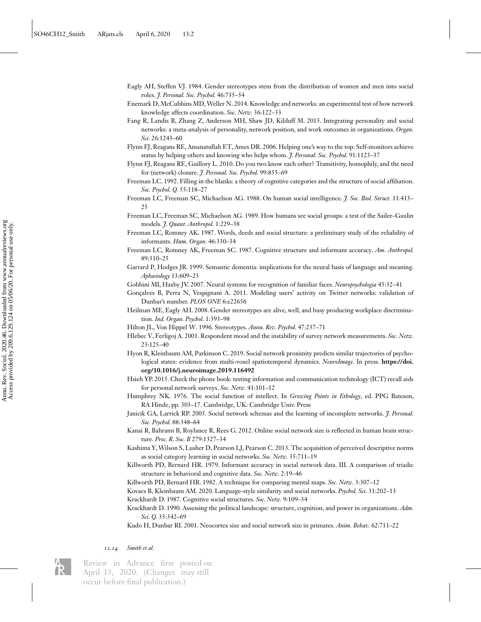- <span id="page-13-0"></span>Eagly AH, Steffen VJ. 1984. Gender stereotypes stem from the distribution of women and men into social roles. *J. Personal. Soc. Psychol.* 46:735–54
- Enemark D, McCubbins MD,Weller N. 2014. Knowledge and networks: an experimental test of how network knowledge affects coordination. *Soc. Netw.* 36:122–33
- Fang R, Landis B, Zhang Z, Anderson MH, Shaw JD, Kilduff M. 2015. Integrating personality and social networks: a meta-analysis of personality, network position, and work outcomes in organizations. *Organ. Sci.* 26:1243–60
- Flynn FJ, Reagans RE, Amanatullah ET, Ames DR. 2006. Helping one's way to the top: Self-monitors achieve status by helping others and knowing who helps whom. *J. Personal. Soc. Psychol.* 91:1123–37
- Flynn FJ, Reagans RE, Guillory L. 2010. Do you two know each other? Transitivity, homophily, and the need for (network) closure. *J. Personal. Soc. Psychol.* 99:855–69
- Freeman LC. 1992. Filling in the blanks: a theory of cognitive categories and the structure of social affiliation. *Soc. Psychol. Q.* 55:118–27
- Freeman LC, Freeman SC, Michaelson AG. 1988. On human social intelligence. *J. Soc. Biol. Struct.* 11:415– 25
- Freeman LC, Freeman SC, Michaelson AG. 1989. How humans see social groups: a test of the Sailer–Gaulin models. *J. Quant. Anthropol.* 1:229–38
- Freeman LC, Romney AK. 1987. Words, deeds and social structure: a preliminary study of the reliability of informants. *Hum. Organ.* 46:330–34
- Freeman LC, Romney AK, Freeman SC. 1987. Cognitive structure and informant accuracy. *Am. Anthropol.* 89:310–25
- Garrard P, Hodges JR. 1999. Semantic dementia: implications for the neural basis of language and meaning. *Aphasiology* 13:609–23
- Gobbini MI, Haxby JV. 2007. Neural systems for recognition of familiar faces. *Neuropsychologia* 45:32–41
- Gonçalves B, Perra N, Vespignani A. 2011. Modeling users' activity on Twitter networks: validation of Dunbar's number. *PLOS ONE* 6:e22656
- Heilman ME, Eagly AH. 2008. Gender stereotypes are alive, well, and busy producing workplace discrimination. *Ind. Organ. Psychol.* 1:393–98
- Hilton JL, Von Hippel W. 1996. Stereotypes. *Annu. Rev. Psychol.* 47:237–71
- Hlebec V, Ferligoj A. 2001. Respondent mood and the instability of survey network measurements. *Soc. Netw.* 23:125–40
- Hyon R, Kleinbaum AM, Parkinson C. 2019. Social network proximity predicts similar trajectories of psycho[logical states: evidence from multi-voxel spatiotemporal dynamics.](https://doi.org/10.1016/j.neuroimage.2019.116492) *NeuroImage*. In press. **https://doi. org/10.1016/j.neuroimage.2019.116492**
- Hsieh YP. 2015. Check the phone book: testing information and communication technology (ICT) recall aids for personal network surveys. *Soc. Netw.* 41:101–12
- Humphrey NK. 1976. The social function of intellect. In *Growing Points in Ethology*, ed. PPG Bateson, RA Hinde, pp. 303–17. Cambridge, UK: Cambridge Univ. Press
- Janicik GA, Larrick RP. 2005. Social network schemas and the learning of incomplete networks. *J. Personal. Soc. Psychol.* 88:348–64
- Kanai R, Bahrami B, Roylance R, Rees G. 2012. Online social network size is reflected in human brain structure. *Proc. R. Soc. B* 279:1327–34
- Kashima Y,Wilson S, Lusher D, Pearson LJ, Pearson C. 2013. The acquisition of perceived descriptive norms as social category learning in social networks. *Soc. Netw.* 35:711–19
- Killworth PD, Bernard HR. 1979. Informant accuracy in social network data. III. A comparison of triadic structure in behavioral and cognitive data. *Soc. Netw.* 2:19–46
- Killworth PD, Bernard HR. 1982. A technique for comparing mental maps. *Soc. Netw.* 3:307–12
- Kovacs B, Kleinbaum AM. 2020. Language-style similarity and social networks. *Psychol. Sci.* 31:202–13 Krackhardt D. 1987. Cognitive social structures. *Soc. Netw.* 9:109–34
- Krackhardt D. 1990. Assessing the political landscape: structure, cognition, and power in organizations. *Adm. Sci. Q.* 35:342–69
- Kudo H, Dunbar RI. 2001. Neocortex size and social network size in primates. *Anim. Behav.* 62:711–22

#### *12.14 Smith et al.*

 $\overline{R}$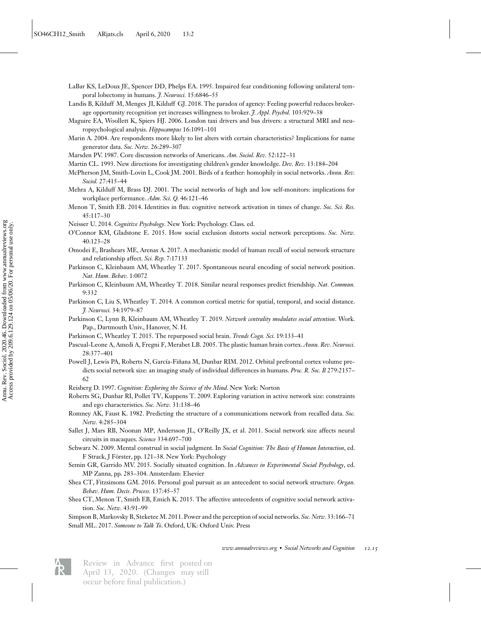<span id="page-14-0"></span>LaBar KS, LeDoux JE, Spencer DD, Phelps EA. 1995. Impaired fear conditioning following unilateral temporal lobectomy in humans. *J. Neurosci.* 15:6846–55

Landis B, Kilduff M, Menges JI, Kilduff GJ. 2018. The paradox of agency: Feeling powerful reduces brokerage opportunity recognition yet increases willingness to broker. *J. Appl. Psychol.* 103:929–38

- Maguire EA, Woollett K, Spiers HJ. 2006. London taxi drivers and bus drivers: a structural MRI and neuropsychological analysis. *Hippocampus* 16:1091–101
- Marin A. 2004. Are respondents more likely to list alters with certain characteristics? Implications for name generator data. *Soc. Netw.* 26:289–307

Marsden PV. 1987. Core discussion networks of Americans. *Am. Sociol. Rev.* 52:122–31

Martin CL. 1993. New directions for investigating children's gender knowledge. *Dev. Rev.* 13:184–204

- McPherson JM, Smith-Lovin L, Cook JM. 2001. Birds of a feather: homophily in social networks. *Annu. Rev. Sociol.* 27:415–44
- Mehra A, Kilduff M, Brass DJ. 2001. The social networks of high and low self-monitors: implications for workplace performance. *Adm. Sci. Q.* 46:121–46
- Menon T, Smith EB. 2014. Identities in flux: cognitive network activation in times of change. *Soc. Sci. Res.* 45:117–30
- Neisser U. 2014. *Cognitive Psychology*. New York: Psychology. Class. ed.
- O'Connor KM, Gladstone E. 2015. How social exclusion distorts social network perceptions. *Soc. Netw.* 40:123–28
- Omodei E, Brashears ME, Arenas A. 2017. A mechanistic model of human recall of social network structure and relationship affect. *Sci. Rep.* 7:17133
- Parkinson C, Kleinbaum AM, Wheatley T. 2017. Spontaneous neural encoding of social network position. *Nat. Hum. Behav.* 1:0072
- Parkinson C, Kleinbaum AM, Wheatley T. 2018. Similar neural responses predict friendship. *Nat. Commun.* 9:332
- Parkinson C, Liu S, Wheatley T. 2014. A common cortical metric for spatial, temporal, and social distance. *J. Neurosci.* 34:1979–87
- Parkinson C, Lynn B, Kleinbaum AM, Wheatley T. 2019. *Network centrality modulates social attention*. Work. Pap., Dartmouth Univ., Hanover, N. H.
- Parkinson C, Wheatley T. 2015. The repurposed social brain. *Trends Cogn. Sci.* 19:133–41
- Pascual-Leone A, Amedi A, Fregni F, Merabet LB. 2005. The plastic human brain cortex. *Annu. Rev. Neurosci.* 28:377–401
- Powell J, Lewis PA, Roberts N, García-Fiñana M, Dunbar RIM. 2012. Orbital prefrontal cortex volume predicts social network size: an imaging study of individual differences in humans. *Proc. R. Soc. B* 279:2157– 62
- Reisberg D. 1997. *Cognition: Exploring the Science of the Mind*. New York: Norton
- Roberts SG, Dunbar RI, Pollet TV, Kuppens T. 2009. Exploring variation in active network size: constraints and ego characteristics. *Soc. Netw.* 31:138–46
- Romney AK, Faust K. 1982. Predicting the structure of a communications network from recalled data. *Soc. Netw.* 4:285–304
- Sallet J, Mars RB, Noonan MP, Andersson JL, O'Reilly JX, et al. 2011. Social network size affects neural circuits in macaques. *Science* 334:697–700
- Schwarz N. 2009. Mental construal in social judgment. In *Social Cognition: The Basis of Human Interaction*, ed. F Strack, J Förster, pp. 121–38. New York: Psychology
- Semin GR, Garrido MV. 2015. Socially situated cognition. In *Advances in Experimental Social Psychology*, ed. MP Zanna, pp. 283–304. Amsterdam: Elsevier
- Shea CT, Fitzsimons GM. 2016. Personal goal pursuit as an antecedent to social network structure. *Organ. Behav. Hum. Decis. Process.* 137:45–57
- Shea CT, Menon T, Smith EB, Emich K. 2015. The affective antecedents of cognitive social network activation. *Soc. Netw.* 43:91–99
- Simpson B,Markovsky B, Steketee M. 2011. Power and the perception of social networks. *Soc. Netw.* 33:166–71 Small ML. 2017. *Someone to Talk To*. Oxford, UK: Oxford Univ. Press ,<br>,<br>R